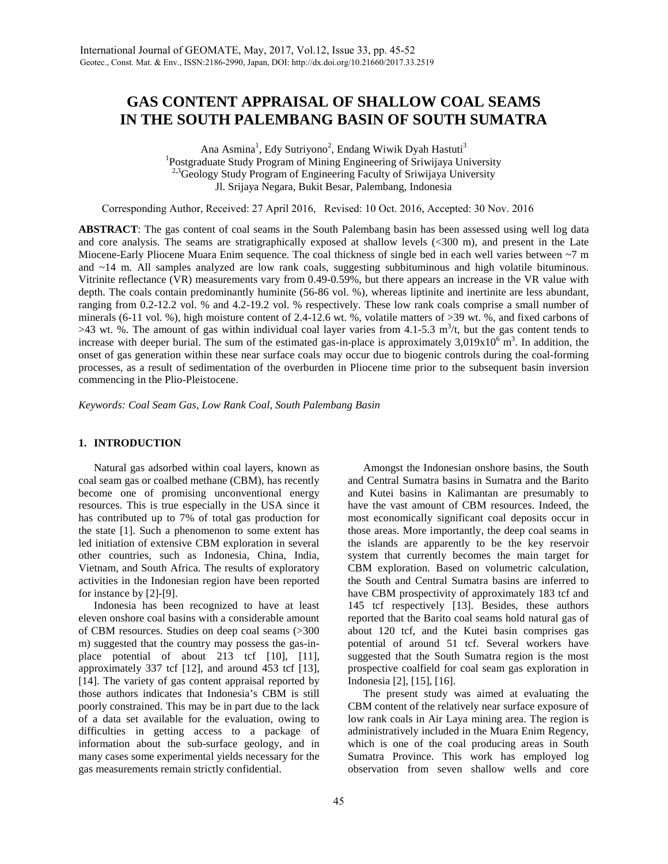# **GAS CONTENT APPRAISAL OF SHALLOW COAL SEAMS IN THE SOUTH PALEMBANG BASIN OF SOUTH SUMATRA**

Ana Asmina<sup>1</sup>, Edy Sutriyono<sup>2</sup>, Endang Wiwik Dyah Hastuti<sup>3</sup> <sup>1</sup>Postgraduate Study Program of Mining Engineering of Sriwijaya University <sup>2,3</sup>Geology Study Program of Engineering Faculty of Sriwijaya University Jl. Srijaya Negara, Bukit Besar, Palembang, Indonesia

Corresponding Author, Received: 27 April 2016, Revised: 10 Oct. 2016, Accepted: 30 Nov. 2016

**ABSTRACT**: The gas content of coal seams in the South Palembang basin has been assessed using well log data and core analysis. The seams are stratigraphically exposed at shallow levels (<300 m), and present in the Late Miocene-Early Pliocene Muara Enim sequence. The coal thickness of single bed in each well varies between ~7 m and ~14 m. All samples analyzed are low rank coals, suggesting subbituminous and high volatile bituminous. Vitrinite reflectance (VR) measurements vary from 0.49-0.59%, but there appears an increase in the VR value with depth. The coals contain predominantly huminite (56-86 vol. %), whereas liptinite and inertinite are less abundant, ranging from 0.2-12.2 vol. % and 4.2-19.2 vol. % respectively. These low rank coals comprise a small number of minerals (6-11 vol. %), high moisture content of 2.4-12.6 wt. %, volatile matters of >39 wt. %, and fixed carbons of  $>43$  wt. %. The amount of gas within individual coal layer varies from 4.1-5.3 m<sup>3</sup>/t, but the gas content tends to increase with deeper burial. The sum of the estimated gas-in-place is approximately  $3,019 \times 10^{6}$  m<sup>3</sup>. In addition, the onset of gas generation within these near surface coals may occur due to biogenic controls during the coal-forming processes, as a result of sedimentation of the overburden in Pliocene time prior to the subsequent basin inversion commencing in the Plio-Pleistocene.

*Keywords: Coal Seam Gas, Low Rank Coal, South Palembang Basin*

### **1. INTRODUCTION**

Natural gas adsorbed within coal layers, known as coal seam gas or coalbed methane (CBM), has recently become one of promising unconventional energy resources. This is true especially in the USA since it has contributed up to 7% of total gas production for the state [1]. Such a phenomenon to some extent has led initiation of extensive CBM exploration in several other countries, such as Indonesia, China, India, Vietnam, and South Africa. The results of exploratory activities in the Indonesian region have been reported for instance by [2]-[9].

Indonesia has been recognized to have at least eleven onshore coal basins with a considerable amount of CBM resources. Studies on deep coal seams (>300 m) suggested that the country may possess the gas-in place potential of about 213 tcf [10], [11], approximately 337 tcf [12], and around 453 tcf [13], [14]. The variety of gas content appraisal reported by those authors indicates that Indonesia's CBM is still poorly constrained. This may be in part due to the lack of a data set available for the evaluation, owing to difficulties in getting access to a package of information about the sub-surface geology, and in many cases some experimental yields necessary for the gas measurements remain strictly confidential.

Amongst the Indonesian onshore basins, the South and Central Sumatra basins in Sumatra and the Barito and Kutei basins in Kalimantan are presumably to have the vast amount of CBM resources. Indeed, the most economically significant coal deposits occur in those areas. More importantly, the deep coal seams in the islands are apparently to be the key reservoir system that currently becomes the main target for CBM exploration. Based on volumetric calculation, the South and Central Sumatra basins are inferred to have CBM prospectivity of approximately 183 tcf and 145 tcf respectively [13]. Besides, these authors reported that the Barito coal seams hold natural gas of about 120 tcf, and the Kutei basin comprises gas potential of around 51 tcf. Several workers have suggested that the South Sumatra region is the most prospective coalfield for coal seam gas exploration in Indonesia [2], [15], [16].

The present study was aimed at evaluating the CBM content of the relatively near surface exposure of low rank coals in Air Laya mining area. The region is administratively included in the Muara Enim Regency, which is one of the coal producing areas in South Sumatra Province. This work has employed log observation from seven shallow wells and core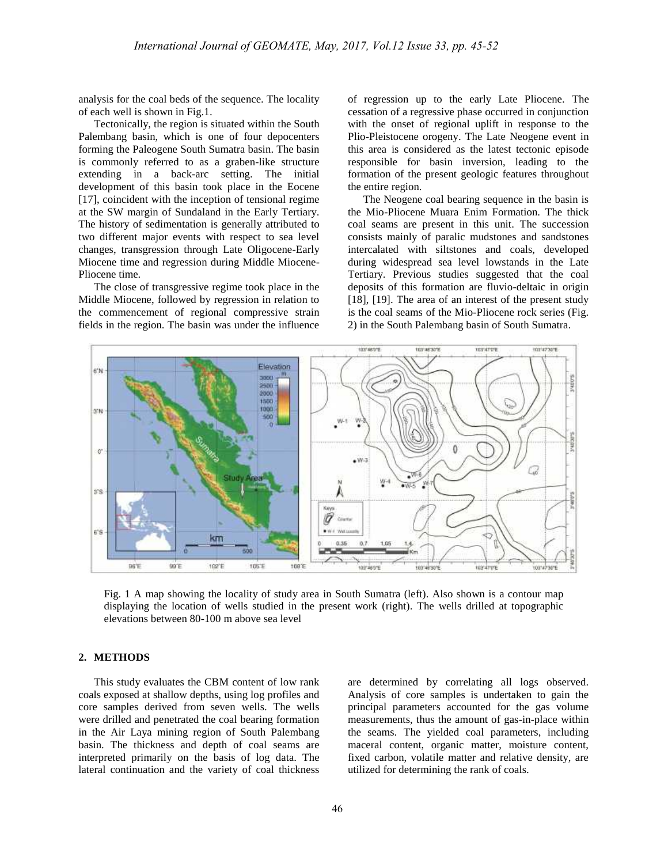analysis for the coal beds of the sequence. The locality of each well is shown in Fig.1.

Tectonically, the region is situated within the South Palembang basin, which is one of four depocenters forming the Paleogene South Sumatra basin. The basin is commonly referred to as a graben-like structure extending in a back-arc setting. The initial development of this basin took place in the Eocene [17], coincident with the inception of tensional regime at the SW margin of Sundaland in the Early Tertiary. The history of sedimentation is generally attributed to two different major events with respect to sea level changes, transgression through Late Oligocene-Early Miocene time and regression during Middle Miocene- Pliocene time.

The close of transgressive regime took place in the Middle Miocene, followed by regression in relation to the commencement of regional compressive strain is the coal seams of the Mio-Pliocene rock series (I<br>fields in the region. The basin was under the influence 2) in the South Palembang basin of South Sumatra. fields in the region. The basin was under the influence

of regression up to the early Late Pliocene. The cessation of a regressive phase occurred in conjunction with the onset of regional uplift in response to the Plio-Pleistocene orogeny. The Late Neogene event in this area is considered as the latest tectonic episode responsible for basin inversion, leading to the formation of the present geologic features throughout the entire region.

The Neogene coal bearing sequence in the basin is the Mio-Pliocene Muara Enim Formation. The thick coal seams are present in this unit. The succession consists mainly of paralic mudstones and sandstones intercalated with siltstones and coals, developed during widespread sea level lowstands in the Late Tertiary. Previous studies suggested that the coal deposits of this formation are fluvio-deltaic in origin [18], [19]. The area of an interest of the present study is the coal seams of the Mio-Pliocene rock series (Fig. during widespread sea level lowstands in the Late<br>Tertiary. Previous studies suggested that the coal<br>deposits of this formation are fluvio-deltaic in origin<br>[18], [19]. The area of an interest of the present study<br>is the c



Fig. 1 A map showing the locality of study area in South Sumatra (left). Also shown is a contour map displaying the location of wells studied in the present work (right). The wells drilled at topographic elevations between 80-100 m above sea level

## **2. METHODS**

This study evaluates the CBM content of low rank coals exposed at shallow depths, using log profiles and core samples derived from seven wells. The wells were drilled and penetrated the coal bearing formation in the Air Laya mining region of South Palembang basin. The thickness and depth of coal seams are interpreted primarily on the basis of log data. The lateral continuation and the variety of coal thickness are determined by correlating all logs observed. Analysis of core samples is undertaken to gain the principal parameters accounted for the gas volume measurements, thus the amount of gas-in-place within the seams. The yielded coal parameters, including maceral content, organic matter, moisture content, fixed carbon, volatile matter and relative density, are utilized for determining the rank of coals.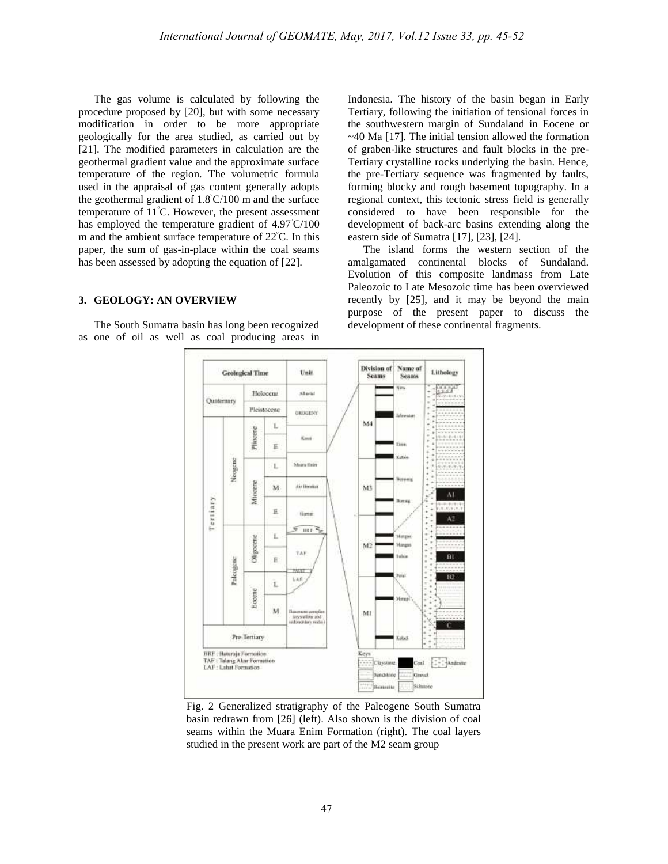The gas volume is calculated by following the procedure proposed by [20], but with some necessary modification in order to be more appropriate geologically for the area studied, as carried out by [21]. The modified parameters in calculation are the geothermal gradient value and the approximate surface temperature of the region. The volumetric formula used in the appraisal of gas content generally adopts the geothermal gradient of  $1.8^{\circ}$ C/100 m and the surface temperature of  $11^{\circ}$ C. However, the present assessment has employed the temperature gradient of  $4.97^{\circ}C/100$ m and the ambient surface temperature of  $22^{\circ}$ C. In this paper, the sum of gas-in-place within the coal seams has been assessed by adopting the equation of [22].

## **3. GEOLOGY: AN OVERVIEW**

The South Sumatra basin has long been recognized as one of oil as well as coal producing areas in Indonesia. The history of the basin began in Early Tertiary, following the initiation of tensional forces in the southwestern margin of Sundaland in Eocene or  $\sim$ 40 Ma [17]. The initial tension allowed the formation of graben-like structures and fault blocks in the pre- Tertiary crystalline rocks underlying the basin. Hence, the pre-Tertiary sequence was fragmented by faults, forming blocky and rough basement topography. In a regional context, this tectonic stress field is generally considered to have been responsible for the development of back-arc basins extending along the eastern side of Sumatra [17], [23], [24].

The island forms the western section of the amalgamated continental blocks of Sundaland. Evolution of this composite landmass from Late Paleozoic to Late Mesozoic time has been overviewed recently by [25], and it may be beyond the main purpose of the present paper to discuss the development of these continental fragments.



Fig. 2 Generalized stratigraphy of the Paleogene South Sumatra Fig. 2 Generalized stratigraphy of the Paleogene South Sumatra<br>basin redrawn from [26] (left). Also shown is the division of coal<br>seams within the Muara Enim Formation (right). The coal layers<br>studied in the present work a Fig. 2 Generalized stratigraphy of the Paleogene South Sumatra basin redrawn from [26] (left). Also shown is the division of coal seams within the Muara Enim Formation (right). The coal layers studied in the present work a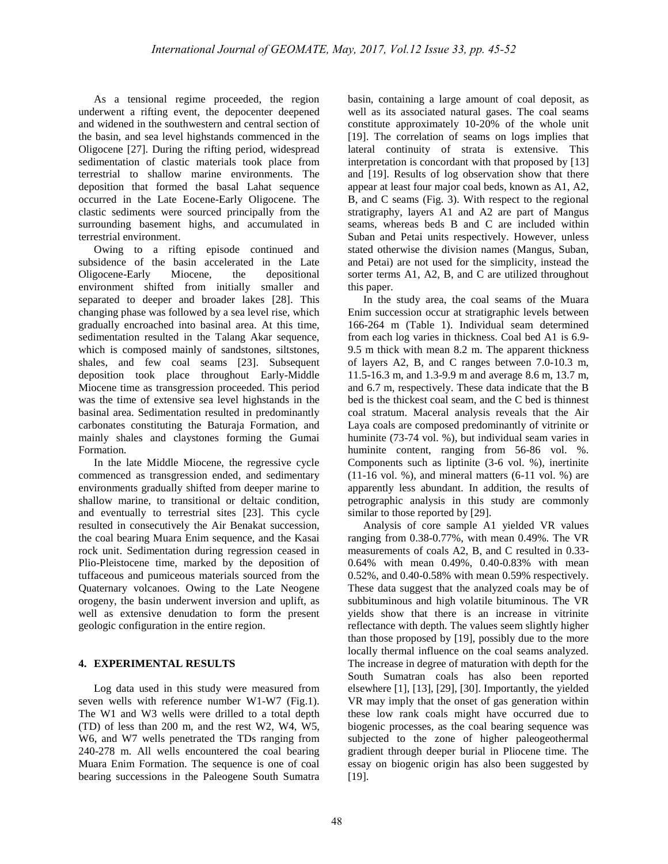As a tensional regime proceeded, the region underwent a rifting event, the depocenter deepened and widened in the southwestern and central section of the basin, and sea level highstands commenced in the Oligocene [27]. During the rifting period, widespread sedimentation of clastic materials took place from terrestrial to shallow marine environments. The deposition that formed the basal Lahat sequence occurred in the Late Eocene-Early Oligocene. The clastic sediments were sourced principally from the surrounding basement highs, and accumulated in terrestrial environment.

Owing to a rifting episode continued and subsidence of the basin accelerated in the Late Oligocene-Early Miocene, the depositional environment shifted from initially smaller and separated to deeper and broader lakes [28]. This changing phase was followed by a sea level rise, which gradually encroached into basinal area. At this time, sedimentation resulted in the Talang Akar sequence, which is composed mainly of sandstones, siltstones, shales, and few coal seams [23]. Subsequent deposition took place throughout Early-Middle Miocene time as transgression proceeded. This period was the time of extensive sea level highstands in the basinal area. Sedimentation resulted in predominantly carbonates constituting the Baturaja Formation, and mainly shales and claystones forming the Gumai Formation.

In the late Middle Miocene, the regressive cycle commenced as transgression ended, and sedimentary environments gradually shifted from deeper marine to shallow marine, to transitional or deltaic condition, and eventually to terrestrial sites [23]. This cycle resulted in consecutively the Air Benakat succession, the coal bearing Muara Enim sequence, and the Kasai rock unit. Sedimentation during regression ceased in Plio-Pleistocene time, marked by the deposition of tuffaceous and pumiceous materials sourced from the Quaternary volcanoes. Owing to the Late Neogene orogeny, the basin underwent inversion and uplift, as well as extensive denudation to form the present geologic configuration in the entire region.

## **4. EXPERIMENTAL RESULTS**

Log data used in this study were measured from seven wells with reference number W1-W7 (Fig.1). The W1 and W3 wells were drilled to a total depth (TD) of less than 200 m, and the rest W2, W4, W5, W6, and W7 wells penetrated the TDs ranging from 240-278 m. All wells encountered the coal bearing Muara Enim Formation. The sequence is one of coal bearing successions in the Paleogene South Sumatra basin, containing a large amount of coal deposit, as well as its associated natural gases. The coal seams constitute approximately 10-20% of the whole unit [19]. The correlation of seams on logs implies that lateral continuity of strata is extensive. This interpretation is concordant with that proposed by [13] and [19]. Results of log observation show that there appear at least four major coal beds, known as A1, A2, B, and C seams (Fig. 3). With respect to the regional stratigraphy, layers A1 and A2 are part of Mangus seams, whereas beds B and C are included within Suban and Petai units respectively. However, unless stated otherwise the division names (Mangus, Suban, and Petai) are not used for the simplicity, instead the sorter terms A1, A2, B, and C are utilized throughout this paper.

In the study area, the coal seams of the Muara Enim succession occur at stratigraphic levels between 166-264 m (Table 1). Individual seam determined from each log varies in thickness. Coal bed A1 is 6.9- 9.5 m thick with mean 8.2 m. The apparent thickness of layers A2, B, and C ranges between 7.0-10.3 m, 11.5-16.3 m, and 1.3-9.9 m and average 8.6 m, 13.7 m, and 6.7 m, respectively. These data indicate that the B bed is the thickest coal seam, and the C bed is thinnest coal stratum. Maceral analysis reveals that the Air Laya coals are composed predominantly of vitrinite or huminite (73-74 vol. %), but individual seam varies in huminite content, ranging from 56-86 vol. %. Components such as liptinite (3-6 vol. %), inertinite  $(11-16 \text{ vol. } %)$ , and mineral matters  $(6-11 \text{ vol. } %)$  are apparently less abundant. In addition, the results of petrographic analysis in this study are commonly similar to those reported by [29].

Analysis of core sample A1 yielded VR values ranging from 0.38-0.77%, with mean 0.49%. The VR measurements of coals A2, B, and C resulted in 0.33- 0.64% with mean 0.49%, 0.40-0.83% with mean 0.52%, and 0.40-0.58% with mean 0.59% respectively. These data suggest that the analyzed coals may be of subbituminous and high volatile bituminous. The VR yields show that there is an increase in vitrinite reflectance with depth. The values seem slightly higher than those proposed by [19], possibly due to the more locally thermal influence on the coal seams analyzed. The increase in degree of maturation with depth for the South Sumatran coals has also been reported elsewhere [1], [13], [29], [30]. Importantly, the yielded VR may imply that the onset of gas generation within these low rank coals might have occurred due to biogenic processes, as the coal bearing sequence was subjected to the zone of higher paleogeothermal gradient through deeper burial in Pliocene time. The essay on biogenic origin has also been suggested by [19].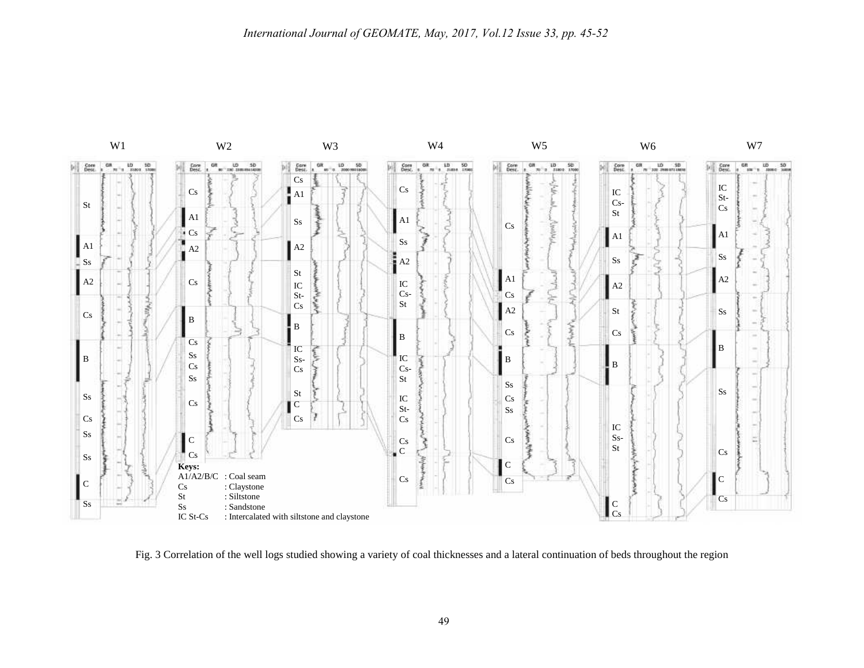

Fig. 3 Correlation of the well logs studied showing a variety of coal thicknesses and a lateral continuation of beds throughout the region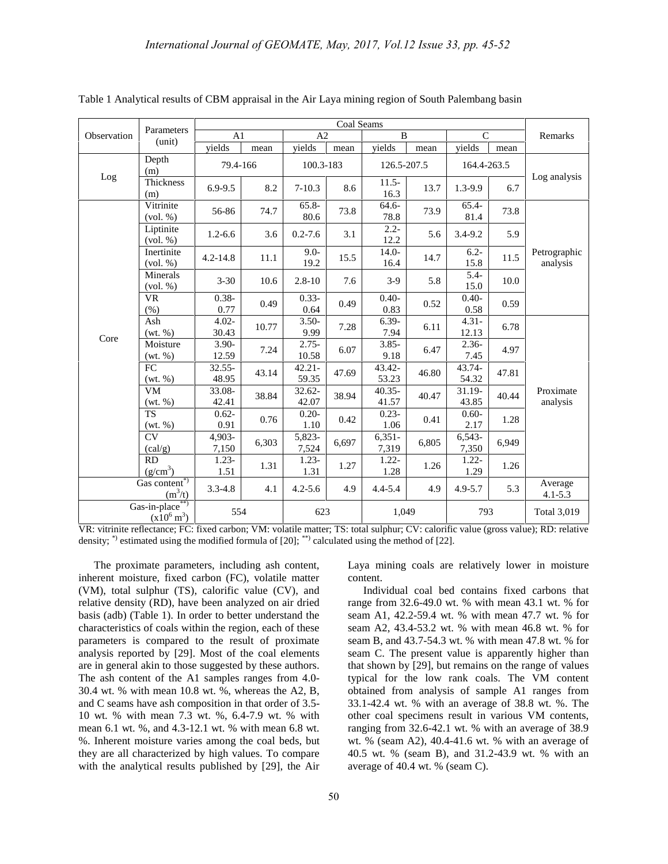|                                          | Parameters<br>(unit)                         | Coal Seams         |       |                    |       |                    |       |                   |       |                          |
|------------------------------------------|----------------------------------------------|--------------------|-------|--------------------|-------|--------------------|-------|-------------------|-------|--------------------------|
| Observation                              |                                              | A <sub>1</sub>     |       | A2                 |       | $\mathbf{B}$       |       | $\mathsf{C}$      |       | Remarks                  |
|                                          |                                              | vields             | mean  | vields             | mean  | yields             | mean  | vields            | mean  |                          |
| Log                                      | Depth<br>(m)                                 | 79.4-166           |       | 100.3-183          |       | 126.5-207.5        |       | 164.4-263.5       |       | Log analysis             |
|                                          | <b>Thickness</b><br>(m)                      | $6.9 - 9.5$        | 8.2   | $7 - 10.3$         | 8.6   | $11.5 -$<br>16.3   | 13.7  | 1.3-9.9           | 6.7   |                          |
| Core                                     | Vitrinite<br>(vol. %)                        | 56-86              | 74.7  | $65.8 -$<br>80.6   | 73.8  | 64.6-<br>78.8      | 73.9  | 65.4-<br>81.4     | 73.8  | Petrographic<br>analysis |
|                                          | Liptinite<br>(vol. %)                        | $1.2 - 6.6$        | 3.6   | $0.2 - 7.6$        | 3.1   | $2.2 -$<br>12.2    | 5.6   | $3.4 - 9.2$       | 5.9   |                          |
|                                          | Inertinite<br>$\left(\text{vol. } \%\right)$ | $4.2 - 14.8$       | 11.1  | $9.0 -$<br>19.2    | 15.5  | $14.0 -$<br>16.4   | 14.7  | $6.2 -$<br>15.8   | 11.5  |                          |
|                                          | Minerals<br>(vol. %)                         | $3 - 30$           | 10.6  | $2.8 - 10$         | 7.6   | $3-9$              | 5.8   | $5.4 -$<br>15.0   | 10.0  |                          |
|                                          | <b>VR</b><br>(% )                            | $0.38 -$<br>0.77   | 0.49  | $0.33 -$<br>0.64   | 0.49  | $0.40 -$<br>0.83   | 0.52  | $0.40 -$<br>0.58  | 0.59  |                          |
|                                          | Ash<br>(wt. %)                               | $4.02 -$<br>30.43  | 10.77 | $3.50-$<br>9.99    | 7.28  | $6.39-$<br>7.94    | 6.11  | $4.31 -$<br>12.13 | 6.78  | Proximate<br>analysis    |
|                                          | Moisture<br>(wt. %)                          | $3.90 -$<br>12.59  | 7.24  | $2.75 -$<br>10.58  | 6.07  | $3.85 -$<br>9.18   | 6.47  | $2.36-$<br>7.45   | 4.97  |                          |
|                                          | FC<br>(wt. %)                                | $32.55 -$<br>48.95 | 43.14 | $42.21 -$<br>59.35 | 47.69 | 43.42-<br>53.23    | 46.80 | 43.74-<br>54.32   | 47.81 |                          |
|                                          | <b>VM</b><br>(wt. %)                         | 33.08-<br>42.41    | 38.84 | $32.62 -$<br>42.07 | 38.94 | $40.35 -$<br>41.57 | 40.47 | 31.19-<br>43.85   | 40.44 |                          |
|                                          | <b>TS</b><br>(wt. %)                         | $0.62 -$<br>0.91   | 0.76  | $0.20 -$<br>1.10   | 0.42  | $0.23 -$<br>1.06   | 0.41  | $0.60 -$<br>2.17  | 1.28  |                          |
|                                          | CV<br>(cal/g)                                | 4,903-<br>7,150    | 6,303 | 5,823-<br>7,524    | 6,697 | $6,351-$<br>7,319  | 6,805 | 6,543-<br>7,350   | 6,949 |                          |
|                                          | RD<br>(g/cm <sup>3</sup> )                   | $1.23 -$<br>1.51   | 1.31  | $1.23 -$<br>1.31   | 1.27  | $1.22 -$<br>1.28   | 1.26  | $1.22 -$<br>1.29  | 1.26  |                          |
| Gas content*)<br>$(m^3/t)$               |                                              | $3.3 - 4.8$        | 4.1   | $4.2 - 5.6$        | 4.9   | $4.4 - 5.4$        | 4.9   | $4.9 - 5.7$       | 5.3   | Average<br>$4.1 - 5.3$   |
| Gas-in-place**)<br>$(x10^6 \text{ m}^3)$ |                                              | 554                |       | 623                |       | 1.049              |       | 793               |       | <b>Total 3,019</b>       |

Table 1 Analytical results of CBM appraisal in the Air Laya mining region of South Palembang basin

VR: vitrinite reflectance; FC: fixed carbon; VM: volatile matter; TS: total sulphur; CV: calorific value (gross value); RD: relative density; \*) estimated using the modified formula of [20]; \*\*) calculated using the method of [22].

The proximate parameters, including ash content, inherent moisture, fixed carbon (FC), volatile matter (VM), total sulphur (TS), calorific value (CV), and relative density (RD), have been analyzed on air dried basis (adb) (Table 1). In order to better understand the characteristics of coals within the region, each of these parameters is compared to the result of proximate analysis reported by [29]. Most of the coal elements are in general akin to those suggested by these authors. The ash content of the A1 samples ranges from 4.0- 30.4 wt. % with mean 10.8 wt. %, whereas the A2, B, and C seams have ash composition in that order of 3.5- 10 wt. % with mean 7.3 wt. %, 6.4-7.9 wt. % with mean 6.1 wt. %, and 4.3-12.1 wt. % with mean 6.8 wt. %. Inherent moisture varies among the coal beds, but they are all characterized by high values. To compare with the analytical results published by [29], the Air Laya mining coals are relatively lower in moisture content.

Individual coal bed contains fixed carbons that range from 32.6-49.0 wt. % with mean 43.1 wt. % for seam A1, 42.2-59.4 wt. % with mean 47.7 wt. % for seam A2, 43.4-53.2 wt. % with mean 46.8 wt. % for seam B, and 43.7-54.3 wt. % with mean 47.8 wt. % for seam C. The present value is apparently higher than that shown by [29], but remains on the range of values typical for the low rank coals. The VM content obtained from analysis of sample A1 ranges from 33.1-42.4 wt. % with an average of 38.8 wt. %. The other coal specimens result in various VM contents, ranging from 32.6-42.1 wt. % with an average of 38.9 wt. % (seam A2), 40.4-41.6 wt. % with an average of 40.5 wt. % (seam B), and 31.2-43.9 wt. % with an average of 40.4 wt. % (seam C).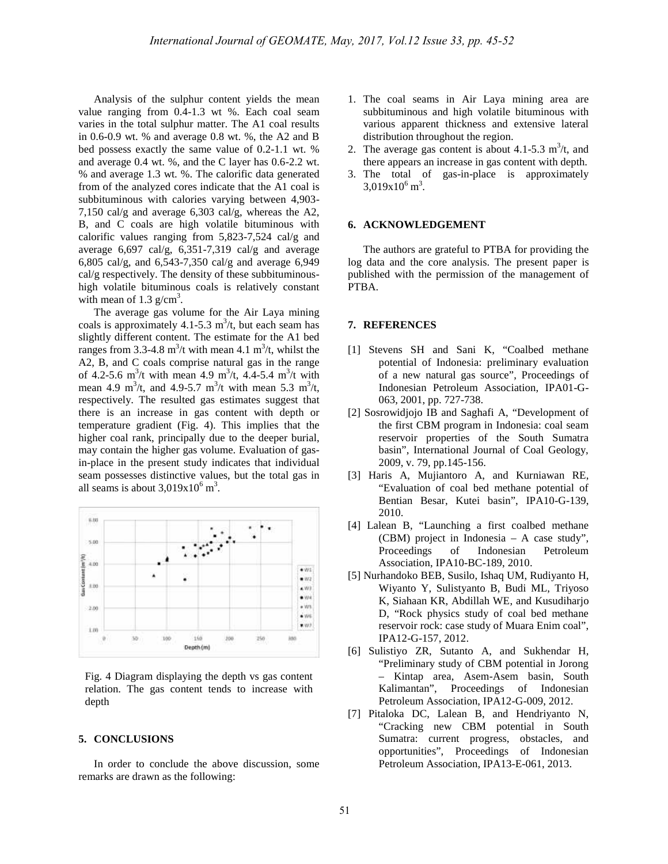Analysis of the sulphur content yields the mean value ranging from 0.4-1.3 wt %. Each coal seam varies in the total sulphur matter. The A1 coal results in 0.6-0.9 wt. % and average 0.8 wt. %, the A2 and B bed possess exactly the same value of 0.2-1.1 wt. % and average 0.4 wt. %, and the C layer has 0.6-2.2 wt. % and average 1.3 wt. %. The calorific data generated from of the analyzed cores indicate that the A1 coal is subbituminous with calories varying between 4,903- 7,150 cal/g and average 6,303 cal/g, whereas the A2, B, and C coals are high volatile bituminous with calorific values ranging from 5,823-7,524 cal/g and average  $6,697$  cal/g,  $6,351-7,319$  cal/g and average 6,805 cal/g, and 6,543-7,350 cal/g and average 6,949 cal/g respectively. The density of these subbituminous high volatile bituminous coals is relatively constant with mean of  $1.3 \text{ g/cm}^3$ .

The average gas volume for the Air Laya mining coals is approximately 4.1-5.3  $\text{m}^3$ /t, but each seam has slightly different content. The estimate for the A1 bed ranges from 3.3-4.8 m<sup>3</sup>/t with mean 4.1 m<sup>3</sup>/t, whilst the [1] A2, B, and C coals comprise natural gas in the range of 4.2-5.6 m<sup>3</sup>/t with mean 4.9 m<sup>3</sup>/t, 4.4-5.4 m<sup>3</sup>/t with mean 4.9 m<sup>3</sup>/t, and 4.9-5.7 m<sup>3</sup>/t with mean 5.3 m<sup>3</sup>/t, respectively. The resulted gas estimates suggest that there is an increase in gas content with depth or temperature gradient (Fig. 4). This implies that the higher coal rank, principally due to the deeper burial, may contain the higher gas volume. Evaluation of gasin-place in the present study indicates that individual seam possesses distinctive values, but the total gas in all seams is about  $3,019x10^6$  m<sup>3</sup>.



Fig. 4 Diagram displaying the depth vs gas content relation. The gas content tends to increase with depth

#### **5. CONCLUSIONS**

In order to conclude the above discussion, some remarks are drawn as the following:

- 1. The coal seams in Air Laya mining area are subbituminous and high volatile bituminous with various apparent thickness and extensive lateral distribution throughout the region.
- 2. The average gas content is about 4.1-5.3  $\text{m}^3$ /t, and there appears an increase in gas content with depth.
- 3. The total of gas-in-place is approximately  $3,019x10^6 \text{ m}^3$ .

#### **6. ACKNOWLEDGEMENT**

The authors are grateful to PTBA for providing the log data and the core analysis. The present paper is published with the permission of the management of PTBA.

#### **7. REFERENCES**

- [1] Stevens SH and Sani K, "Coalbed methane potential of Indonesia: preliminary evaluation of a new natural gas source", Proceedings of Indonesian Petroleum Association, IPA01-G- 063, 2001, pp. 727-738.
- [2] Sosrowidjojo IB and Saghafi A, "Development of the first CBM program in Indonesia: coal seam reservoir properties of the South Sumatra basin", International Journal of Coal Geology, 2009, v. 79, pp.145-156.
- [3] Haris A, Mujiantoro A, and Kurniawan RE, "Evaluation of coal bed methane potential of Bentian Besar, Kutei basin", IPA10-G-139, 2010.
- [4] Lalean B, "Launching a first coalbed methane (CBM) project in Indonesia – A case study", Proceedings of Indonesian Petroleum Association, IPA10-BC-189, 2010.
- [5] Nurhandoko BEB, Susilo, Ishaq UM, Rudiyanto H, Wiyanto Y, Sulistyanto B, Budi ML, Triyoso K, Siahaan KR, Abdillah WE, and Kusudiharjo D, "Rock physics study of coal bed methane reservoir rock: case study of Muara Enim coal", IPA12-G-157, 2012.
- [6] Sulistiyo ZR, Sutanto A, and Sukhendar H, "Preliminary study of CBM potential in Jorong – Kintap area, Asem-Asem basin, South Kalimantan", Proceedings of Indonesian Petroleum Association, IPA12-G-009, 2012.
- [7] Pitaloka DC, Lalean B, and Hendriyanto N, "Cracking new CBM potential in South Sumatra: current progress, obstacles, and opportunities", Proceedings of Indonesian Petroleum Association, IPA13-E-061, 2013.